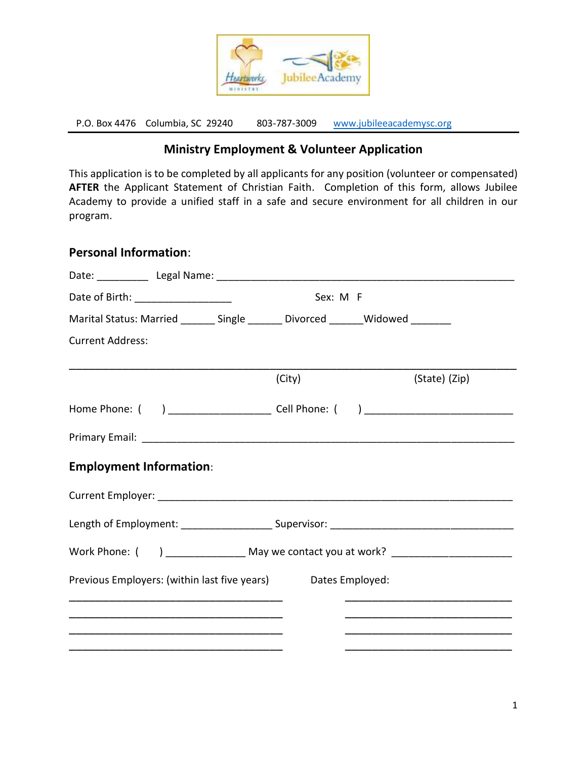

P.O. Box 4476 Columbia, SC 29240 803-787-3009 [www.jubileeacademysc.org](http://www.jubileeacademysc.org/)

## **Ministry Employment & Volunteer Application**

This application is to be completed by all applicants for any position (volunteer or compensated) **AFTER** the Applicant Statement of Christian Faith. Completion of this form, allows Jubilee Academy to provide a unified staff in a safe and secure environment for all children in our program.

#### **Personal Information**:

| Date of Birth: ______________________                                            |  |  | Sex: M F |  |                                                                                  |  |
|----------------------------------------------------------------------------------|--|--|----------|--|----------------------------------------------------------------------------------|--|
| Marital Status: Married _______ Single _______ Divorced _______ Widowed ________ |  |  |          |  |                                                                                  |  |
| <b>Current Address:</b>                                                          |  |  |          |  |                                                                                  |  |
|                                                                                  |  |  | (City)   |  | (State) (Zip)                                                                    |  |
|                                                                                  |  |  |          |  | Home Phone: ( ) ________________________ Cell Phone: ( ) _______________________ |  |
|                                                                                  |  |  |          |  |                                                                                  |  |
| <b>Employment Information:</b>                                                   |  |  |          |  |                                                                                  |  |
|                                                                                  |  |  |          |  |                                                                                  |  |
|                                                                                  |  |  |          |  |                                                                                  |  |
| Work Phone: () _______________ May we contact you at work? _____________________ |  |  |          |  |                                                                                  |  |
| Previous Employers: (within last five years) Dates Employed:                     |  |  |          |  |                                                                                  |  |
|                                                                                  |  |  |          |  |                                                                                  |  |
|                                                                                  |  |  |          |  |                                                                                  |  |
|                                                                                  |  |  |          |  |                                                                                  |  |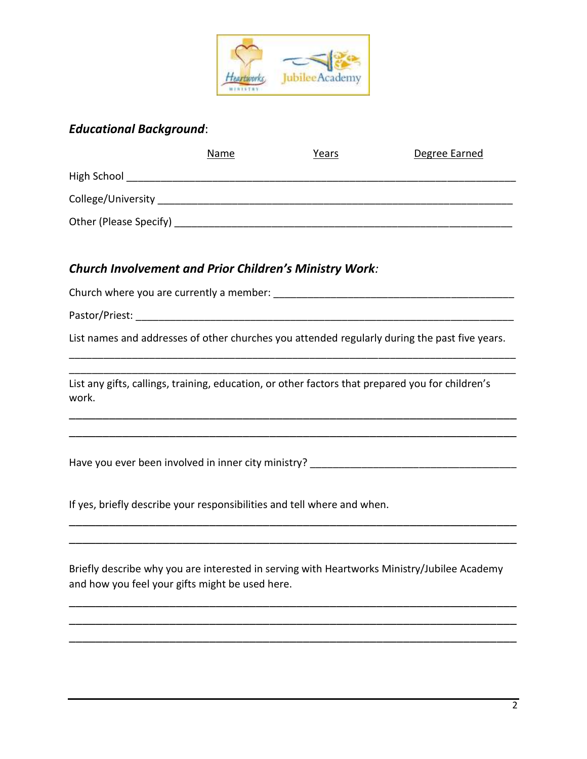

### *Educational Background*:

|                          | Name | Years | Degree Earned |  |  |  |
|--------------------------|------|-------|---------------|--|--|--|
| High School              |      |       |               |  |  |  |
| College/University       |      |       |               |  |  |  |
| Other (Please Specify) _ |      |       |               |  |  |  |

#### *Church Involvement and Prior Children's Ministry Work:*

Church where you are currently a member: \_\_\_\_\_\_\_\_\_\_\_\_\_\_\_\_\_\_\_\_\_\_\_\_\_\_\_\_\_\_\_\_\_\_\_\_\_\_\_\_\_\_

Pastor/Priest: \_\_\_\_\_\_\_\_\_\_\_\_\_\_\_\_\_\_\_\_\_\_\_\_\_\_\_\_\_\_\_\_\_\_\_\_\_\_\_\_\_\_\_\_\_\_\_\_\_\_\_\_\_\_\_\_\_\_\_\_\_\_\_\_\_\_

List names and addresses of other churches you attended regularly during the past five years. \_\_\_\_\_\_\_\_\_\_\_\_\_\_\_\_\_\_\_\_\_\_\_\_\_\_\_\_\_\_\_\_\_\_\_\_\_\_\_\_\_\_\_\_\_\_\_\_\_\_\_\_\_\_\_\_\_\_\_\_\_\_\_\_\_\_\_\_\_\_\_\_\_\_\_\_\_\_

\_\_\_\_\_\_\_\_\_\_\_\_\_\_\_\_\_\_\_\_\_\_\_\_\_\_\_\_\_\_\_\_\_\_\_\_\_\_\_\_\_\_\_\_\_\_\_\_\_\_\_\_\_\_\_\_\_\_\_\_\_\_\_\_\_\_\_\_\_\_\_\_\_\_\_\_\_\_

\_\_\_\_\_\_\_\_\_\_\_\_\_\_\_\_\_\_\_\_\_\_\_\_\_\_\_\_\_\_\_\_\_\_\_\_\_\_\_\_\_\_\_\_\_\_\_\_\_\_\_\_\_\_\_\_\_\_\_\_\_\_\_\_\_\_\_ \_\_\_\_\_\_\_\_\_\_\_\_\_\_\_\_\_\_\_\_\_\_\_\_\_\_\_\_\_\_\_\_\_\_\_\_\_\_\_\_\_\_\_\_\_\_\_\_\_\_\_\_\_\_\_\_\_\_\_\_\_\_\_\_\_\_\_

List any gifts, callings, training, education, or other factors that prepared you for children's work.

Have you ever been involved in inner city ministry?

If yes, briefly describe your responsibilities and tell where and when.

Briefly describe why you are interested in serving with Heartworks Ministry/Jubilee Academy and how you feel your gifts might be used here.

\_\_\_\_\_\_\_\_\_\_\_\_\_\_\_\_\_\_\_\_\_\_\_\_\_\_\_\_\_\_\_\_\_\_\_\_\_\_\_\_\_\_\_\_\_\_\_\_\_\_\_\_\_\_\_\_\_\_\_\_\_\_\_\_\_\_\_ \_\_\_\_\_\_\_\_\_\_\_\_\_\_\_\_\_\_\_\_\_\_\_\_\_\_\_\_\_\_\_\_\_\_\_\_\_\_\_\_\_\_\_\_\_\_\_\_\_\_\_\_\_\_\_\_\_\_\_\_\_\_\_\_\_\_\_ \_\_\_\_\_\_\_\_\_\_\_\_\_\_\_\_\_\_\_\_\_\_\_\_\_\_\_\_\_\_\_\_\_\_\_\_\_\_\_\_\_\_\_\_\_\_\_\_\_\_\_\_\_\_\_\_\_\_\_\_\_\_\_\_\_\_\_

\_\_\_\_\_\_\_\_\_\_\_\_\_\_\_\_\_\_\_\_\_\_\_\_\_\_\_\_\_\_\_\_\_\_\_\_\_\_\_\_\_\_\_\_\_\_\_\_\_\_\_\_\_\_\_\_\_\_\_\_\_\_\_\_\_\_\_ \_\_\_\_\_\_\_\_\_\_\_\_\_\_\_\_\_\_\_\_\_\_\_\_\_\_\_\_\_\_\_\_\_\_\_\_\_\_\_\_\_\_\_\_\_\_\_\_\_\_\_\_\_\_\_\_\_\_\_\_\_\_\_\_\_\_\_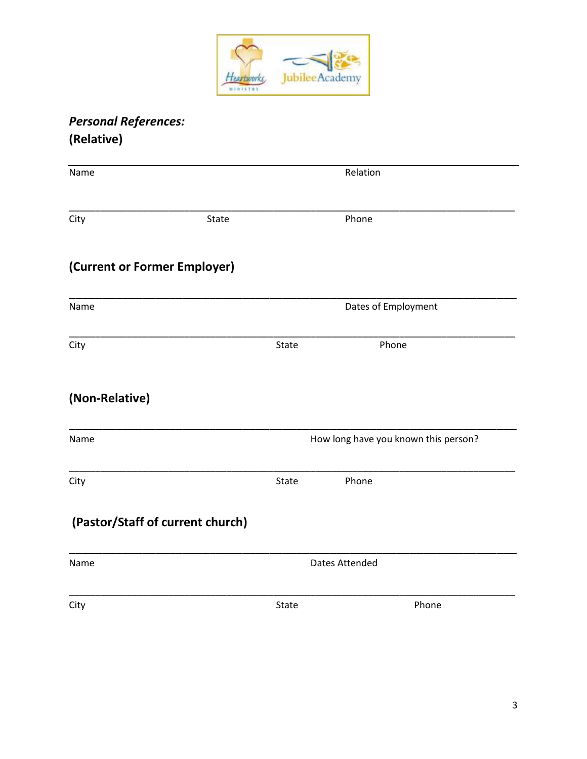

# **Personal References:** (Relative)

| Name                             |       | Relation                             |  |  |
|----------------------------------|-------|--------------------------------------|--|--|
| City<br>State                    |       | Phone                                |  |  |
| (Current or Former Employer)     |       |                                      |  |  |
| Name                             |       | Dates of Employment                  |  |  |
| City                             | State | Phone                                |  |  |
| (Non-Relative)                   |       |                                      |  |  |
| Name                             |       | How long have you known this person? |  |  |
| City                             | State | Phone                                |  |  |
| (Pastor/Staff of current church) |       |                                      |  |  |
| Name                             |       | <b>Dates Attended</b>                |  |  |
| City                             | State | Phone                                |  |  |